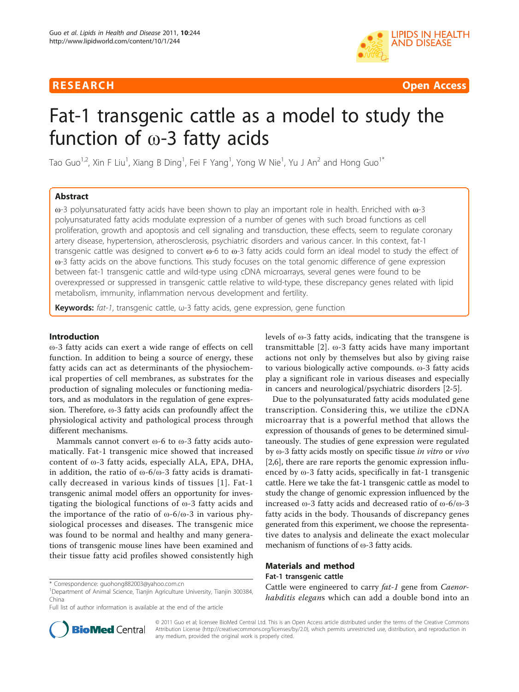

RESEARCH **CONTROLLER CONTROLLER CONTROLLER CONTROLLER CONTROLLER CONTROLLER CONTROLLER CONTROLLER CONTROLLER CONTROLLER CONTROLLER CONTROLLER CONTROLLER CONTROLLER CONTROLLER CONTROLLER CONTROLLER CONTROLLER CONTROLLER CON** 

# Fat-1 transgenic cattle as a model to study the function of ω-3 fatty acids

Tao Guo<sup>1,2</sup>, Xin F Liu<sup>1</sup>, Xiang B Ding<sup>1</sup>, Fei F Yang<sup>1</sup>, Yong W Nie<sup>1</sup>, Yu J An<sup>2</sup> and Hong Guo<sup>1\*</sup>

# Abstract

ω-3 polyunsaturated fatty acids have been shown to play an important role in health. Enriched with ω-3 polyunsaturated fatty acids modulate expression of a number of genes with such broad functions as cell proliferation, growth and apoptosis and cell signaling and transduction, these effects, seem to regulate coronary artery disease, hypertension, atherosclerosis, psychiatric disorders and various cancer. In this context, fat-1 transgenic cattle was designed to convert ω-6 to ω-3 fatty acids could form an ideal model to study the effect of ω-3 fatty acids on the above functions. This study focuses on the total genomic difference of gene expression between fat-1 transgenic cattle and wild-type using cDNA microarrays, several genes were found to be overexpressed or suppressed in transgenic cattle relative to wild-type, these discrepancy genes related with lipid metabolism, immunity, inflammation nervous development and fertility.

Keywords:  $fat-1$ , transgenic cattle,  $\omega$ -3 fatty acids, gene expression, gene function

#### Introduction

ω-3 fatty acids can exert a wide range of effects on cell function. In addition to being a source of energy, these fatty acids can act as determinants of the physiochemical properties of cell membranes, as substrates for the production of signaling molecules or functioning mediators, and as modulators in the regulation of gene expression. Therefore, ω-3 fatty acids can profoundly affect the physiological activity and pathological process through different mechanisms.

Mammals cannot convert ω-6 to ω-3 fatty acids automatically. Fat-1 transgenic mice showed that increased content of ω-3 fatty acids, especially ALA, EPA, DHA, in addition, the ratio of  $\omega$ -6/ $\omega$ -3 fatty acids is dramatically decreased in various kinds of tissues [[1](#page-7-0)]. Fat-1 transgenic animal model offers an opportunity for investigating the biological functions of ω-3 fatty acids and the importance of the ratio of  $\omega$ -6/ $\omega$ -3 in various physiological processes and diseases. The transgenic mice was found to be normal and healthy and many generations of transgenic mouse lines have been examined and their tissue fatty acid profiles showed consistently high

\* Correspondence: [guohong882003@yahoo.com.cn](mailto:guohong882003@yahoo.com.cn)

Full list of author information is available at the end of the article

levels of ω-3 fatty acids, indicating that the transgene is transmittable [[2\]](#page-7-0). ω-3 fatty acids have many important actions not only by themselves but also by giving raise to various biologically active compounds. ω-3 fatty acids play a significant role in various diseases and especially in cancers and neurological/psychiatric disorders [[2-5](#page-7-0)].

Due to the polyunsaturated fatty acids modulated gene transcription. Considering this, we utilize the cDNA microarray that is a powerful method that allows the expression of thousands of genes to be determined simultaneously. The studies of gene expression were regulated by ω-3 fatty acids mostly on specific tissue in vitro or vivo [[2,6\]](#page-7-0), there are rare reports the genomic expression influenced by ω-3 fatty acids, specifically in fat-1 transgenic cattle. Here we take the fat-1 transgenic cattle as model to study the change of genomic expression influenced by the increased ω-3 fatty acids and decreased ratio of ω-6/ω-3 fatty acids in the body. Thousands of discrepancy genes generated from this experiment, we choose the representative dates to analysis and delineate the exact molecular mechanism of functions of ω-3 fatty acids.

# Materials and method

#### Fat-1 transgenic cattle

Cattle were engineered to carry fat-1 gene from Caenorhabditis elegans which can add a double bond into an



© 2011 Guo et al; licensee BioMed Central Ltd. This is an Open Access article distributed under the terms of the Creative Commons Attribution License [\(http://creativecommons.org/licenses/by/2.0](http://creativecommons.org/licenses/by/2.0)), which permits unrestricted use, distribution, and reproduction in any medium, provided the original work is properly cited.

<sup>&</sup>lt;sup>1</sup>Department of Animal Science, Tianjin Agriculture University, Tianjin 300384, China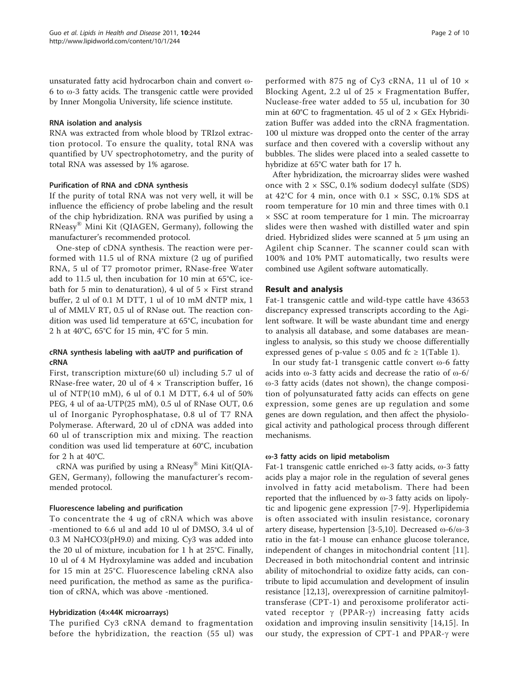unsaturated fatty acid hydrocarbon chain and convert ω-6 to ω-3 fatty acids. The transgenic cattle were provided by Inner Mongolia University, life science institute.

#### RNA isolation and analysis

RNA was extracted from whole blood by TRIzol extraction protocol. To ensure the quality, total RNA was quantified by UV spectrophotometry, and the purity of total RNA was assessed by 1% agarose.

# Purification of RNA and cDNA synthesis

If the purity of total RNA was not very well, it will be influence the efficiency of probe labeling and the result of the chip hybridization. RNA was purified by using a RNeasy® Mini Kit (QIAGEN, Germany), following the manufacturer's recommended protocol.

One-step of cDNA synthesis. The reaction were performed with 11.5 ul of RNA mixture (2 ug of purified RNA, 5 ul of T7 promotor primer, RNase-free Water add to 11.5 ul, then incubation for 10 min at 65°C, icebath for 5 min to denaturation), 4 ul of 5  $\times$  First strand buffer, 2 ul of 0.1 M DTT, 1 ul of 10 mM dNTP mix, 1 ul of MMLV RT, 0.5 ul of RNase out. The reaction condition was used lid temperature at 65°C, incubation for 2 h at 40°C, 65°C for 15 min, 4°C for 5 min.

# cRNA synthesis labeling with aaUTP and purification of cRNA

First, transcription mixture(60 ul) including 5.7 ul of RNase-free water, 20 ul of  $4 \times$  Transcription buffer, 16 ul of NTP(10 mM), 6 ul of 0.1 M DTT, 6.4 ul of 50% PEG, 4 ul of aa-UTP(25 mM), 0.5 ul of RNase OUT, 0.6 ul of Inorganic Pyrophosphatase, 0.8 ul of T7 RNA Polymerase. Afterward, 20 ul of cDNA was added into 60 ul of transcription mix and mixing. The reaction condition was used lid temperature at 60°C, incubation for 2 h at  $40^{\circ}$ C.

cRNA was purified by using a RNeasy® Mini Kit(QIA-GEN, Germany), following the manufacturer's recommended protocol.

## Fluorescence labeling and purification

To concentrate the 4 ug of cRNA which was above -mentioned to 6.6 ul and add 10 ul of DMSO, 3.4 ul of 0.3 M NaHCO3(pH9.0) and mixing. Cy3 was added into the 20 ul of mixture, incubation for 1 h at 25°C. Finally, 10 ul of 4 M Hydroxylamine was added and incubation for 15 min at 25°C. Fluorescence labeling cRNA also need purification, the method as same as the purification of cRNA, which was above -mentioned.

## Hybridization (4×44K microarrays)

The purified Cy3 cRNA demand to fragmentation before the hybridization, the reaction (55 ul) was

performed with 875 ng of Cy3 cRNA, 11 ul of 10 × Blocking Agent, 2.2 ul of  $25 \times$  Fragmentation Buffer, Nuclease-free water added to 55 ul, incubation for 30 min at 60°C to fragmentation. 45 ul of  $2 \times$  GEx Hybridization Buffer was added into the cRNA fragmentation. 100 ul mixture was dropped onto the center of the array surface and then covered with a coverslip without any bubbles. The slides were placed into a sealed cassette to hybridize at 65°C water bath for 17 h.

After hybridization, the microarray slides were washed once with  $2 \times SSC$ , 0.1% sodium dodecyl sulfate (SDS) at  $42^{\circ}$ C for 4 min, once with 0.1  $\times$  SSC, 0.1% SDS at room temperature for 10 min and three times with 0.1 × SSC at room temperature for 1 min. The microarray slides were then washed with distilled water and spin dried. Hybridized slides were scanned at 5 μm using an Agilent chip Scanner. The scanner could scan with 100% and 10% PMT automatically, two results were combined use Agilent software automatically.

# Result and analysis

Fat-1 transgenic cattle and wild-type cattle have 43653 discrepancy expressed transcripts according to the Agilent software. It will be waste abundant time and energy to analysis all database, and some databases are meaningless to analysis, so this study we choose differentially expressed genes of p-value  $\leq 0.05$  and fc  $\geq 1$ (Table [1\)](#page-2-0).

In our study fat-1 transgenic cattle convert ω-6 fatty acids into ω-3 fatty acids and decrease the ratio of ω-6/ ω-3 fatty acids (dates not shown), the change composition of polyunsaturated fatty acids can effects on gene expression, some genes are up regulation and some genes are down regulation, and then affect the physiological activity and pathological process through different mechanisms.

# ω-3 fatty acids on lipid metabolism

Fat-1 transgenic cattle enriched ω-3 fatty acids, ω-3 fatty acids play a major role in the regulation of several genes involved in fatty acid metabolism. There had been reported that the influenced by ω-3 fatty acids on lipolytic and lipogenic gene expression [[7-9\]](#page-7-0). Hyperlipidemia is often associated with insulin resistance, coronary artery disease, hypertension [[3-5,10](#page-7-0)]. Decreased ω-6/ω-3 ratio in the fat-1 mouse can enhance glucose tolerance, independent of changes in mitochondrial content [[11](#page-7-0)]. Decreased in both mitochondrial content and intrinsic ability of mitochondrial to oxidize fatty acids, can contribute to lipid accumulation and development of insulin resistance [\[12,13](#page-7-0)], overexpression of carnitine palmitoyltransferase (CPT-1) and peroxisome proliferator activated receptor  $\gamma$  (PPAR- $\gamma$ ) increasing fatty acids oxidation and improving insulin sensitivity [[14,15](#page-7-0)]. In our study, the expression of CPT-1 and PPAR- $\gamma$  were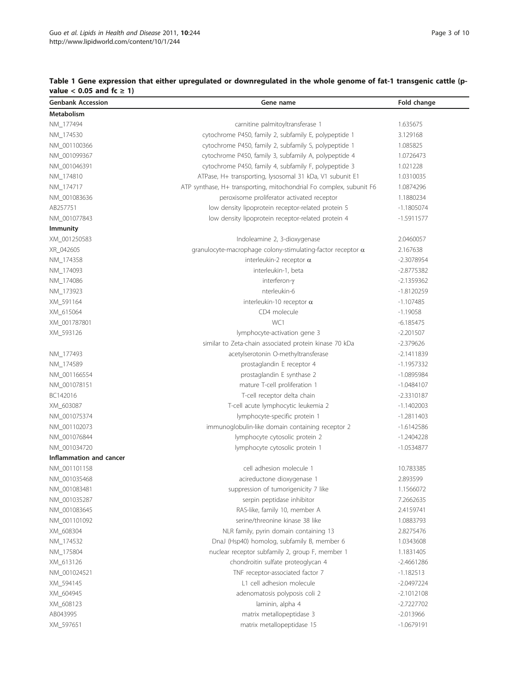<span id="page-2-0"></span>

| Table 1 Gene expression that either upregulated or downregulated in the whole genome of fat-1 transgenic cattle (p- |  |
|---------------------------------------------------------------------------------------------------------------------|--|
| value $< 0.05$ and fc $\geq 1$ )                                                                                    |  |
|                                                                                                                     |  |

| <b>Genbank Accession</b> | Gene name                                                           | Fold change  |
|--------------------------|---------------------------------------------------------------------|--------------|
| Metabolism               |                                                                     |              |
| NM 177494                | carnitine palmitoyltransferase 1                                    | 1.635675     |
| NM_174530                | cytochrome P450, family 2, subfamily E, polypeptide 1               | 3.129168     |
| NM_001100366             | cytochrome P450, family 2, subfamily S, polypeptide 1               | 1.085825     |
| NM 001099367             | cytochrome P450, family 3, subfamily A, polypeptide 4               | 1.0726473    |
| NM_001046391             | cytochrome P450, family 4, subfamily F, polypeptide 3               | 1.021228     |
| NM_174810                | ATPase, H+ transporting, lysosomal 31 kDa, V1 subunit E1            | 1.0310035    |
| NM_174717                | ATP synthase, H+ transporting, mitochondrial Fo complex, subunit F6 | 1.0874296    |
| NM_001083636             | peroxisome proliferator activated receptor                          | 1.1880234    |
| AB257751                 | low density lipoprotein receptor-related protein 5                  | $-1.1805074$ |
| NM_001077843             | low density lipoprotein receptor-related protein 4                  | $-1.5911577$ |
| <b>Immunity</b>          |                                                                     |              |
| XM_001250583             | Indoleamine 2, 3-dioxygenase                                        | 2.0460057    |
| XR_042605                | granulocyte-macrophage colony-stimulating-factor receptor $\alpha$  | 2.167638     |
| NM_174358                | interleukin-2 receptor $\alpha$                                     | $-2.3078954$ |
| NM_174093                | interleukin-1, beta                                                 | $-2.8775382$ |
| NM_174086                | interferon-y                                                        | $-2.1359362$ |
| NM_173923                | nterleukin-6                                                        | $-1.8120259$ |
| XM_591164                | interleukin-10 receptor $\alpha$                                    | $-1.107485$  |
| XM_615064                | CD4 molecule                                                        | $-1.19058$   |
| XM_001787801             | WC1                                                                 | $-6.185475$  |
| XM 593126                | lymphocyte-activation gene 3                                        | $-2.201507$  |
|                          | similar to Zeta-chain associated protein kinase 70 kDa              | $-2.379626$  |
| NM_177493                | acetylserotonin O-methyltransferase                                 | $-2.1411839$ |
| NM_174589                | prostaglandin E receptor 4                                          | $-1.1957332$ |
| NM_001166554             | prostaglandin E synthase 2                                          | $-1.0895984$ |
| NM_001078151             | mature T-cell proliferation 1                                       | $-1.0484107$ |
| BC142016                 | T-cell receptor delta chain                                         | $-2.3310187$ |
| XM_603087                | T-cell acute lymphocytic leukemia 2                                 | $-1.1402003$ |
| NM_001075374             | lymphocyte-specific protein 1                                       | $-1.2811403$ |
| NM_001102073             | immunoglobulin-like domain containing receptor 2                    | $-1.6142586$ |
| NM_001076844             | lymphocyte cytosolic protein 2                                      | $-1.2404228$ |
| NM_001034720             | lymphocyte cytosolic protein 1                                      | $-1.0534877$ |
| Inflammation and cancer  |                                                                     |              |
| NM_001101158             | cell adhesion molecule 1                                            | 10.783385    |
| NM_001035468             | acireductone dioxygenase 1                                          | 2.893599     |
| NM_001083481             | suppression of tumorigenicity 7 like                                | 1.1566072    |
| NM_001035287             | serpin peptidase inhibitor                                          | 7.2662635    |
| NM_001083645             | RAS-like, family 10, member A                                       | 2.4159741    |
| NM 001101092             | serine/threonine kinase 38 like                                     | 1.0883793    |
| XM_608304                | NLR family, pyrin domain containing 13                              | 2.8275476    |
| NM_174532                | DnaJ (Hsp40) homolog, subfamily B, member 6                         | 1.0343608    |
| NM_175804                | nuclear receptor subfamily 2, group F, member 1                     | 1.1831405    |
| XM_613126                | chondroitin sulfate proteoglycan 4                                  | $-2.4661286$ |
| NM_001024521             | TNF receptor-associated factor 7                                    | $-1.182513$  |
| XM_594145                | L1 cell adhesion molecule                                           | $-2.0497224$ |
| XM_604945                | adenomatosis polyposis coli 2                                       | $-2.1012108$ |
| XM_608123                | laminin, alpha 4                                                    | $-2.7227702$ |
| AB043995                 | matrix metallopeptidase 3                                           | $-2.013966$  |
| XM_597651                | matrix metallopeptidase 15                                          | $-1.0679191$ |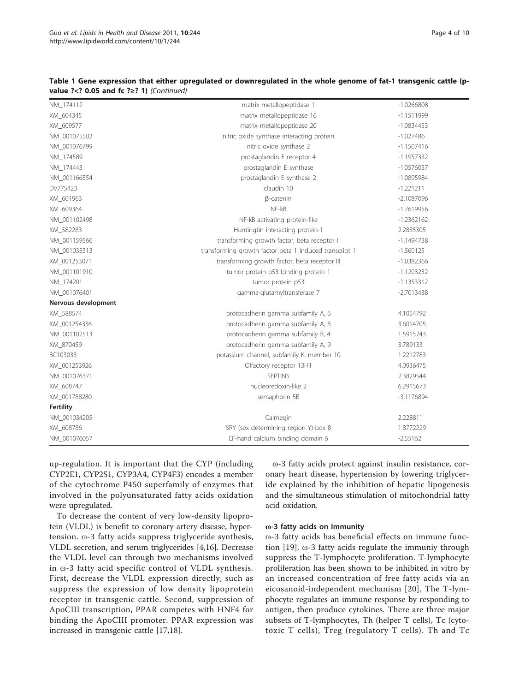| NM_174112           | matrix metallopeptidase 1                              | $-1.0266808$ |
|---------------------|--------------------------------------------------------|--------------|
| XM_604345           | matrix metallopeptidase 16                             | $-1.1511999$ |
| XM_609577           | matrix metallopeptidase 20                             | $-1.0834453$ |
| NM_001075502        | nitric oxide synthase interacting protein              | $-1.027486$  |
| NM_001076799        | nitric oxide synthase 2                                | $-1.1507416$ |
| NM 174589           | prostaglandin E receptor 4                             | $-1.1957332$ |
| NM_174443           | prostaglandin E synthase                               | $-1.0576057$ |
| NM_001166554        | prostaglandin E synthase 2                             | $-1.0895984$ |
| DV775423            | claudin 10                                             | $-1.221211$  |
| XM_601963           | $\beta$ -catenin                                       | $-2.1087096$ |
| XM_609364           | NF-kB                                                  | $-1.7619956$ |
| NM 001102498        | NF-kB activating protein-like                          | $-1.2362162$ |
| XM_582283           | Huntingtin interacting protein-1                       | 2.2835305    |
| NM_001159566        | transforming growth factor, beta receptor II           | $-1.1494738$ |
| NM_001035313        | transforming growth factor beta 1 induced transcript 1 | $-1.560125$  |
| XM_001253071        | transforming growth factor, beta receptor III          | $-1.0382366$ |
| NM_001101910        | tumor protein p53 binding protein 1                    | $-1.1203252$ |
| NM 174201           | tumor protein p53                                      | $-1.1353312$ |
| NM_001076401        | gamma-glutamyltransferase 7                            | $-2.7013438$ |
| Nervous development |                                                        |              |
| XM_588574           | protocadherin gamma subfamily A, 6                     | 4.1054792    |
| XM_001254336        | protocadherin gamma subfamily A, 8                     | 3.6014705    |
| NM 001102513        | protocadherin gamma subfamily B, 4                     | 1.5915743    |
| XM_870459           | protocadherin gamma subfamily A, 9                     | 3.789133     |
| BC103033            | potassium channel, subfamily K, member 10              | 1.2212783    |
| XM_001253926        | Olfactory receptor 13H1                                | 4.0936475    |
| NM_001076371        | SEPTIN5                                                | 2.3829544    |
| XM_608747           | nucleoredoxin-like 2                                   | 6.2915673    |
| XM_001788280        | semaphorin 5B                                          | $-3.1176894$ |
| <b>Fertility</b>    |                                                        |              |
| NM_001034205        | Calmegin                                               | 2.228811     |
| XM_608786           | SRY (sex determining region Y)-box 8                   | 1.8772229    |
| NM_001076057        | EF-hand calcium binding domain 6                       | $-2.55162$   |
|                     |                                                        |              |

#### Table 1 Gene expression that either upregulated or downregulated in the whole genome of fat-1 transgenic cattle (pvalue ?<? 0.05 and fc ?>? 1) (Continued)

up-regulation. It is important that the CYP (including CYP2E1, CYP2S1, CYP3A4, CYP4F3) encodes a member of the cytochrome P450 superfamily of enzymes that involved in the polyunsaturated fatty acids oxidation were upregulated.

To decrease the content of very low-density lipoprotein (VLDL) is benefit to coronary artery disease, hypertension. ω-3 fatty acids suppress triglyceride synthesis, VLDL secretion, and serum triglycerides [[4,16\]](#page-7-0). Decrease the VLDL level can through two mechanisms involved in ω-3 fatty acid specific control of VLDL synthesis. First, decrease the VLDL expression directly, such as suppress the expression of low density lipoprotein receptor in transgenic cattle. Second, suppression of ApoCIII transcription, PPAR competes with HNF4 for binding the ApoCIII promoter. PPAR expression was increased in transgenic cattle [\[17,18](#page-7-0)].

ω-3 fatty acids protect against insulin resistance, coronary heart disease, hypertension by lowering triglyceride explained by the inhibition of hepatic lipogenesis and the simultaneous stimulation of mitochondrial fatty acid oxidation.

#### ω-3 fatty acids on Immunity

ω-3 fatty acids has beneficial effects on immune function [[19](#page-7-0)]. ω-3 fatty acids regulate the immuniy through suppress the T-lymphocyte proliferation. T-lymphocyte proliferation has been shown to be inhibited in vitro by an increased concentration of free fatty acids via an eicosanoid-independent mechanism [[20](#page-7-0)]. The T-lymphocyte regulates an immune response by responding to antigen, then produce cytokines. There are three major subsets of T-lymphocytes, Th (helper T cells), Tc (cytotoxic T cells), Treg (regulatory T cells). Th and Tc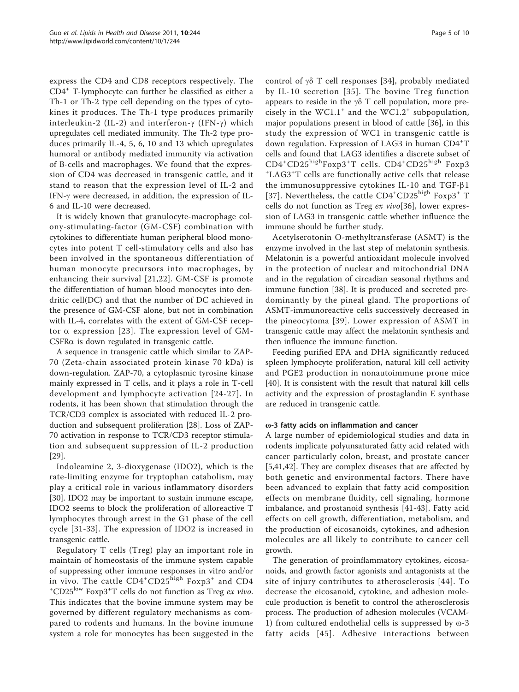express the CD4 and CD8 receptors respectively. The CD4<sup>+</sup> T-lymphocyte can further be classified as either a Th-1 or Th-2 type cell depending on the types of cytokines it produces. The Th-1 type produces primarily interleukin-2 (IL-2) and interferon- $\gamma$  (IFN- $\gamma$ ) which upregulates cell mediated immunity. The Th-2 type produces primarily IL-4, 5, 6, 10 and 13 which upregulates humoral or antibody mediated immunity via activation of B-cells and macrophages. We found that the expression of CD4 was decreased in transgenic cattle, and it stand to reason that the expression level of IL-2 and IFN-g were decreased, in addition, the expression of IL-6 and IL-10 were decreased.

It is widely known that granulocyte-macrophage colony-stimulating-factor (GM-CSF) combination with cytokines to differentiate human peripheral blood monocytes into potent T cell-stimulatory cells and also has been involved in the spontaneous differentiation of human monocyte precursors into macrophages, by enhancing their survival [[21,22](#page-7-0)]. GM-CSF is promote the differentiation of human blood monocytes into dendritic cell(DC) and that the number of DC achieved in the presence of GM-CSF alone, but not in combination with IL-4, correlates with the extent of GM-CSF receptor  $\alpha$  expression [[23\]](#page-7-0). The expression level of GM-CSFRa is down regulated in transgenic cattle.

A sequence in transgenic cattle which similar to ZAP-70 (Zeta-chain associated protein kinase 70 kDa) is down-regulation. ZAP-70, a cytoplasmic tyrosine kinase mainly expressed in T cells, and it plays a role in T-cell development and lymphocyte activation [[24-27](#page-7-0)]. In rodents, it has been shown that stimulation through the TCR/CD3 complex is associated with reduced IL-2 production and subsequent proliferation [[28\]](#page-7-0). Loss of ZAP-70 activation in response to TCR/CD3 receptor stimulation and subsequent suppression of IL-2 production [[29\]](#page-7-0).

Indoleamine 2, 3-dioxygenase (IDO2), which is the rate-limiting enzyme for tryptophan catabolism, may play a critical role in various inflammatory disorders [[30\]](#page-7-0). IDO2 may be important to sustain immune escape, IDO2 seems to block the proliferation of alloreactive T lymphocytes through arrest in the G1 phase of the cell cycle [[31](#page-7-0)-[33](#page-8-0)]. The expression of IDO2 is increased in transgenic cattle.

Regulatory T cells (Treg) play an important role in maintain of homeostasis of the immune system capable of suppressing other immune responses in vitro and/or in vivo. The cattle  $CD4^+CD25^{\text{high}}$  Foxp3<sup>+</sup> and CD4  $+CD25^{\text{low}}$  Foxp3<sup>+</sup> colls do not function as Trag ax vivo CD25<sup>low</sup> Foxp3<sup>+</sup>T cells do not function as Treg ex vivo. This indicates that the bovine immune system may be governed by different regulatory mechanisms as compared to rodents and humans. In the bovine immune system a role for monocytes has been suggested in the control of  $\gamma\delta$  T cell responses [[34\]](#page-8-0), probably mediated by IL-10 secretion [[35](#page-8-0)]. The bovine Treg function appears to reside in the  $\gamma\delta$  T cell population, more precisely in the WC1.1<sup>+</sup> and the WC1.2<sup>+</sup> subpopulation, major populations present in blood of cattle [[36\]](#page-8-0), in this study the expression of WC1 in transgenic cattle is down regulation. Expression of LAG3 in human CD4<sup>+</sup>T cells and found that LAG3 identifies a discrete subset of  $CD4+CD25^{\text{high}}$ Foxp3<sup>+</sup>T cells.  $CD4+CD25^{\text{high}}$  Foxp3<br><sup>+T</sup> AG3<sup>+</sup>T cells are functionally active cells that release LAG3<sup>+</sup> T cells are functionally active cells that release the immunosuppressive cytokines IL-10 and TGF- $\beta$ 1 [[37](#page-8-0)]. Nevertheless, the cattle CD4<sup>+</sup>CD25<sup>high</sup> Foxp3<sup>+</sup> T cells do not function as Treg ex vivo[[36\]](#page-8-0), lower expression of LAG3 in transgenic cattle whether influence the immune should be further study.

Acetylserotonin O-methyltransferase (ASMT) is the enzyme involved in the last step of melatonin synthesis. Melatonin is a powerful antioxidant molecule involved in the protection of nuclear and mitochondrial DNA and in the regulation of circadian seasonal rhythms and immune function [\[38](#page-8-0)]. It is produced and secreted predominantly by the pineal gland. The proportions of ASMT-immunoreactive cells successively decreased in the pineocytoma [[39](#page-8-0)]. Lower expression of ASMT in transgenic cattle may affect the melatonin synthesis and then influence the immune function.

Feeding purified EPA and DHA significantly reduced spleen lymphocyte proliferation, natural kill cell activity and PGE2 production in nonautoimmune prone mice [[40\]](#page-8-0). It is consistent with the result that natural kill cells activity and the expression of prostaglandin E synthase are reduced in transgenic cattle.

#### ω-3 fatty acids on inflammation and cancer

A large number of epidemiological studies and data in rodents implicate polyunsaturated fatty acid related with cancer particularly colon, breast, and prostate cancer [[5,](#page-7-0)[41,42\]](#page-8-0). They are complex diseases that are affected by both genetic and environmental factors. There have been advanced to explain that fatty acid composition effects on membrane fluidity, cell signaling, hormone imbalance, and prostanoid synthesis [[41-43](#page-8-0)]. Fatty acid effects on cell growth, differentiation, metabolism, and the production of eicosanoids, cytokines, and adhesion molecules are all likely to contribute to cancer cell growth.

The generation of proinflammatory cytokines, eicosanoids, and growth factor agonists and antagonists at the site of injury contributes to atherosclerosis [[44\]](#page-8-0). To decrease the eicosanoid, cytokine, and adhesion molecule production is benefit to control the atherosclerosis process. The production of adhesion molecules (VCAM-1) from cultured endothelial cells is suppressed by ω-3 fatty acids [[45\]](#page-8-0). Adhesive interactions between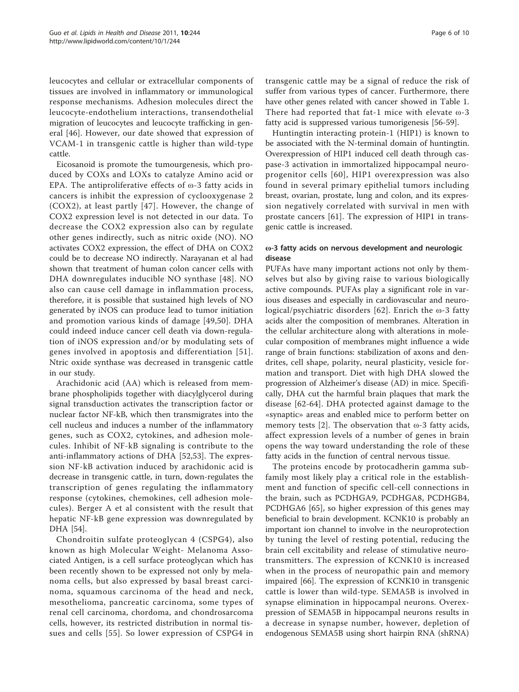leucocytes and cellular or extracellular components of tissues are involved in inflammatory or immunological response mechanisms. Adhesion molecules direct the leucocyte-endothelium interactions, transendothelial migration of leucocytes and leucocyte trafficking in general [[46\]](#page-8-0). However, our date showed that expression of VCAM-1 in transgenic cattle is higher than wild-type cattle.

Eicosanoid is promote the tumourgenesis, which produced by COXs and LOXs to catalyze Amino acid or EPA. The antiproliferative effects of  $\omega$ -3 fatty acids in cancers is inhibit the expression of cyclooxygenase 2 (COX2), at least partly [[47\]](#page-8-0). However, the change of COX2 expression level is not detected in our data. To decrease the COX2 expression also can by regulate other genes indirectly, such as nitric oxide (NO). NO activates COX2 expression, the effect of DHA on COX2 could be to decrease NO indirectly. Narayanan et al had shown that treatment of human colon cancer cells with DHA downregulates inducible NO synthase [\[48\]](#page-8-0). NO also can cause cell damage in inflammation process, therefore, it is possible that sustained high levels of NO generated by iNOS can produce lead to tumor initiation and promotion various kinds of damage [[49,50](#page-8-0)]. DHA could indeed induce cancer cell death via down-regulation of iNOS expression and/or by modulating sets of genes involved in apoptosis and differentiation [[51\]](#page-8-0). Ntric oxide synthase was decreased in transgenic cattle in our study.

Arachidonic acid (AA) which is released from membrane phospholipids together with diacylglycerol during signal transduction activates the transcription factor or nuclear factor NF-kB, which then transmigrates into the cell nucleus and induces a number of the inflammatory genes, such as COX2, cytokines, and adhesion molecules. Inhibit of NF-kB signaling is contribute to the anti-inflammatory actions of DHA [[52,53](#page-8-0)]. The expression NF-kB activation induced by arachidonic acid is decrease in transgenic cattle, in turn, down-regulates the transcription of genes regulating the inflammatory response (cytokines, chemokines, cell adhesion molecules). Berger A et al consistent with the result that hepatic NF-kB gene expression was downregulated by DHA [[54](#page-8-0)].

Chondroitin sulfate proteoglycan 4 (CSPG4), also known as high Molecular Weight- Melanoma Associated Antigen, is a cell surface proteoglycan which has been recently shown to be expressed not only by melanoma cells, but also expressed by basal breast carcinoma, squamous carcinoma of the head and neck, mesothelioma, pancreatic carcinoma, some types of renal cell carcinoma, chordoma, and chondrosarcoma cells, however, its restricted distribution in normal tissues and cells [\[55\]](#page-8-0). So lower expression of CSPG4 in transgenic cattle may be a signal of reduce the risk of suffer from various types of cancer. Furthermore, there have other genes related with cancer showed in Table [1](#page-2-0). There had reported that fat-1 mice with elevate ω-3 fatty acid is suppressed various tumorigenesis [[56](#page-8-0)-[59\]](#page-8-0).

Huntingtin interacting protein-1 (HIP1) is known to be associated with the N-terminal domain of huntingtin. Overexpression of HIP1 induced cell death through caspase-3 activation in immortalized hippocampal neuroprogenitor cells [[60\]](#page-8-0), HIP1 overexpression was also found in several primary epithelial tumors including breast, ovarian, prostate, lung and colon, and its expression negatively correlated with survival in men with prostate cancers [[61\]](#page-8-0). The expression of HIP1 in transgenic cattle is increased.

#### ω-3 fatty acids on nervous development and neurologic disease

PUFAs have many important actions not only by themselves but also by giving raise to various biologically active compounds. PUFAs play a significant role in various diseases and especially in cardiovascular and neurological/psychiatric disorders [\[62\]](#page-8-0). Enrich the ω-3 fatty acids alter the composition of membranes. Alteration in the cellular architecture along with alterations in molecular composition of membranes might influence a wide range of brain functions: stabilization of axons and dendrites, cell shape, polarity, neural plasticity, vesicle formation and transport. Diet with high DHA slowed the progression of Alzheimer's disease (AD) in mice. Specifically, DHA cut the harmful brain plaques that mark the disease [\[62-64](#page-8-0)]. DHA protected against damage to the «synaptic» areas and enabled mice to perform better on memory tests [[2\]](#page-7-0). The observation that ω-3 fatty acids, affect expression levels of a number of genes in brain opens the way toward understanding the role of these fatty acids in the function of central nervous tissue.

The proteins encode by protocadherin gamma subfamily most likely play a critical role in the establishment and function of specific cell-cell connections in the brain, such as PCDHGA9, PCDHGA8, PCDHGB4, PCDHGA6 [[65\]](#page-8-0), so higher expression of this genes may beneficial to brain development. KCNK10 is probably an important ion channel to involve in the neuroprotection by tuning the level of resting potential, reducing the brain cell excitability and release of stimulative neurotransmitters. The expression of KCNK10 is increased when in the process of neuropathic pain and memory impaired [[66\]](#page-8-0). The expression of KCNK10 in transgenic cattle is lower than wild-type. SEMA5B is involved in synapse elimination in hippocampal neurons. Overexpression of SEMA5B in hippocampal neurons results in a decrease in synapse number, however, depletion of endogenous SEMA5B using short hairpin RNA (shRNA)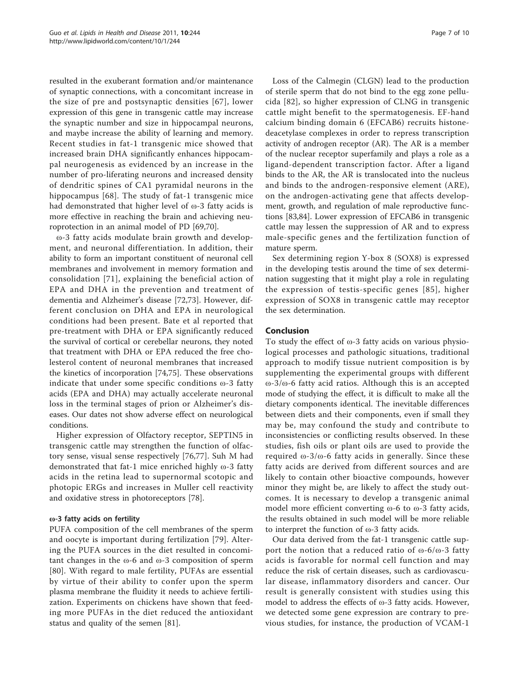resulted in the exuberant formation and/or maintenance of synaptic connections, with a concomitant increase in the size of pre and postsynaptic densities [[67](#page-8-0)], lower expression of this gene in transgenic cattle may increase the synaptic number and size in hippocampal neurons, and maybe increase the ability of learning and memory. Recent studies in fat-1 transgenic mice showed that increased brain DHA significantly enhances hippocampal neurogenesis as evidenced by an increase in the number of pro-liferating neurons and increased density of dendritic spines of CA1 pyramidal neurons in the hippocampus [[68\]](#page-8-0). The study of fat-1 transgenic mice had demonstrated that higher level of ω-3 fatty acids is more effective in reaching the brain and achieving neuroprotection in an animal model of PD [\[69,70\]](#page-8-0).

ω-3 fatty acids modulate brain growth and development, and neuronal differentiation. In addition, their ability to form an important constituent of neuronal cell membranes and involvement in memory formation and consolidation [[71](#page-8-0)], explaining the beneficial action of EPA and DHA in the prevention and treatment of dementia and Alzheimer's disease [\[72,73](#page-8-0)]. However, different conclusion on DHA and EPA in neurological conditions had been present. Bate et al reported that pre-treatment with DHA or EPA significantly reduced the survival of cortical or cerebellar neurons, they noted that treatment with DHA or EPA reduced the free cholesterol content of neuronal membranes that increased the kinetics of incorporation [\[74,75\]](#page-8-0). These observations indicate that under some specific conditions ω-3 fatty acids (EPA and DHA) may actually accelerate neuronal loss in the terminal stages of prion or Alzheimer's diseases. Our dates not show adverse effect on neurological conditions.

Higher expression of Olfactory receptor, SEPTIN5 in transgenic cattle may strengthen the function of olfactory sense, visual sense respectively [\[76](#page-9-0),[77\]](#page-9-0). Suh M had demonstrated that fat-1 mice enriched highly ω-3 fatty acids in the retina lead to supernormal scotopic and photopic ERGs and increases in Muller cell reactivity and oxidative stress in photoreceptors [\[78](#page-9-0)].

## ω-3 fatty acids on fertility

PUFA composition of the cell membranes of the sperm and oocyte is important during fertilization [[79\]](#page-9-0). Altering the PUFA sources in the diet resulted in concomitant changes in the ω-6 and ω-3 composition of sperm [[80](#page-9-0)]. With regard to male fertility, PUFAs are essential by virtue of their ability to confer upon the sperm plasma membrane the fluidity it needs to achieve fertilization. Experiments on chickens have shown that feeding more PUFAs in the diet reduced the antioxidant status and quality of the semen [\[81\]](#page-9-0).

Loss of the Calmegin (CLGN) lead to the production of sterile sperm that do not bind to the egg zone pellucida [[82](#page-9-0)], so higher expression of CLNG in transgenic cattle might benefit to the spermatogenesis. EF-hand calcium binding domain 6 (EFCAB6) recruits histonedeacetylase complexes in order to repress transcription activity of androgen receptor (AR). The AR is a member of the nuclear receptor superfamily and plays a role as a ligand-dependent transcription factor. After a ligand binds to the AR, the AR is translocated into the nucleus and binds to the androgen-responsive element (ARE), on the androgen-activating gene that affects development, growth, and regulation of male reproductive functions [\[83,84\]](#page-9-0). Lower expression of EFCAB6 in transgenic cattle may lessen the suppression of AR and to express male-specific genes and the fertilization function of mature sperm.

Sex determining region Y-box 8 (SOX8) is expressed in the developing testis around the time of sex determination suggesting that it might play a role in regulating the expression of testis-specific genes [[85](#page-9-0)], higher expression of SOX8 in transgenic cattle may receptor the sex determination.

#### Conclusion

To study the effect of ω-3 fatty acids on various physiological processes and pathologic situations, traditional approach to modify tissue nutrient composition is by supplementing the experimental groups with different ω-3/ω-6 fatty acid ratios. Although this is an accepted mode of studying the effect, it is difficult to make all the dietary components identical. The inevitable differences between diets and their components, even if small they may be, may confound the study and contribute to inconsistencies or conflicting results observed. In these studies, fish oils or plant oils are used to provide the required  $\omega$ -3/ $\omega$ -6 fatty acids in generally. Since these fatty acids are derived from different sources and are likely to contain other bioactive compounds, however minor they might be, are likely to affect the study outcomes. It is necessary to develop a transgenic animal model more efficient converting ω-6 to ω-3 fatty acids, the results obtained in such model will be more reliable to interpret the function of ω-3 fatty acids.

Our data derived from the fat-1 transgenic cattle support the notion that a reduced ratio of ω-6/ω-3 fatty acids is favorable for normal cell function and may reduce the risk of certain diseases, such as cardiovascular disease, inflammatory disorders and cancer. Our result is generally consistent with studies using this model to address the effects of ω-3 fatty acids. However, we detected some gene expression are contrary to previous studies, for instance, the production of VCAM-1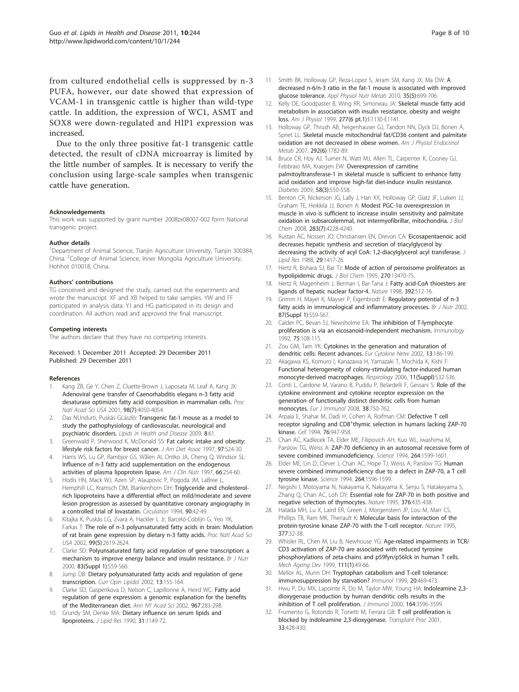<span id="page-7-0"></span>from cultured endothelial cells is suppressed by n-3 PUFA, however, our date showed that expression of VCAM-1 in transgenic cattle is higher than wild-type cattle. In addition, the expression of WC1, ASMT and SOX8 were down-regulated and HIP1 expression was increased.

Due to the only three positive fat-1 transgenic cattle detected, the result of cDNA microarray is limited by the little number of samples. It is necessary to verify the conclusion using large-scale samples when transgenic cattle have generation.

#### Acknowledgements

This work was supported by grant number 2008zx08007-002 form National transgenic project.

#### Author details

<sup>1</sup>Department of Animal Science, Tianjin Agriculture University, Tianjin 300384, China. <sup>2</sup>College of Animal Science, Inner Mongolia Agriculture University, Hohhot 010018, China.

#### Authors' contributions

TG conceived and designed the study, carried out the experiments and wrote the manuscript. XF and XB helped to take samples. YW and FF participated in analysis data. YJ and HG participated in its design and coordination. All authors read and approved the final manuscript.

#### Competing interests

The authors declare that they have no competing interests.

#### Received: 1 December 2011 Accepted: 29 December 2011 Published: 29 December 2011

#### References

- Kang ZB, Ge Y, Chen Z, Cluette-Brown J, Laposata M, Leaf A, Kang JX: [Adenoviral gene transfer of Caenorhabditis elegans n-3 fatty acid](http://www.ncbi.nlm.nih.gov/pubmed/11259654?dopt=Abstract) [desaturase optimizes fatty acid composition in mammalian cells.](http://www.ncbi.nlm.nih.gov/pubmed/11259654?dopt=Abstract) Proc Natl Acad Sci USA 2001, 98(7):4050-4054.
- 2. Das NUndurti, Puskás GLászló: [Transgenic fat-1 mouse as a model to](http://www.ncbi.nlm.nih.gov/pubmed/20042103?dopt=Abstract) [study the pathophysiology of cardiovascular, neurological and](http://www.ncbi.nlm.nih.gov/pubmed/20042103?dopt=Abstract) [psychiatric disorders.](http://www.ncbi.nlm.nih.gov/pubmed/20042103?dopt=Abstract) Lipids in Health and Disease 2009, 8:61.
- 3. Greenwald P, Sherwood K, McDonald SS: [Fat caloric intake and obesity:](http://www.ncbi.nlm.nih.gov/pubmed/9216564?dopt=Abstract) [lifestyle risk factors for breast cancer.](http://www.ncbi.nlm.nih.gov/pubmed/9216564?dopt=Abstract) J Am Diet Assoc 1997, 97:S24-30.
- Harris WS, Lu GP, Rambjor GS, Wålen AI, Ontko JA, Cheng Q, Windsor SL: Infl[uence of n-3 fatty acid supplementation on the endogenous](http://www.ncbi.nlm.nih.gov/pubmed/9250102?dopt=Abstract) [activities of plasma lipoprotein lipase.](http://www.ncbi.nlm.nih.gov/pubmed/9250102?dopt=Abstract) Am J Clin Nutr 1997, 66:254-60.
- 5. Hodis HN, Mack WJ, Azen SP, Alaupovic P, Pogoda JM, LaBree L, Hemphill LC, Kramsch DM, Blankenhorn DH: [Triglyceride and cholesterol](http://www.ncbi.nlm.nih.gov/pubmed/8026027?dopt=Abstract)[rich lipoproteins have a differential effect on mild/moderate and severe](http://www.ncbi.nlm.nih.gov/pubmed/8026027?dopt=Abstract) [lesion progression as assessed by quantitative coronary angiography in](http://www.ncbi.nlm.nih.gov/pubmed/8026027?dopt=Abstract) [a controlled trial of lovastatin.](http://www.ncbi.nlm.nih.gov/pubmed/8026027?dopt=Abstract) Circulation 1994, 90:42-49.
- 6. Kitajka K, Puskás LG, Zvara A, Hackler L Jr, Barceló-Coblijn G, Yeo YK, Farkas T: [The role of n-3 polyunsaturated fatty acids in brain: Modulation](http://www.ncbi.nlm.nih.gov/pubmed/11880617?dopt=Abstract) [of rat brain gene expression by dietary n-3 fatty acids.](http://www.ncbi.nlm.nih.gov/pubmed/11880617?dopt=Abstract) Proc Natl Acad Sci USA 2002, 99(5):2619-2624.
- 7. Clarke SD: [Polyunsaturated fatty acid regulation of gene transcription: a](http://www.ncbi.nlm.nih.gov/pubmed/10889793?dopt=Abstract) [mechanism to improve energy balance and insulin resistance.](http://www.ncbi.nlm.nih.gov/pubmed/10889793?dopt=Abstract) Br J Nutr 2000, 83(Suppl 1):S59-S66.
- 8. Jump DB: [Dietary polyunsaturated fatty acids and regulation of gene](http://www.ncbi.nlm.nih.gov/pubmed/11891418?dopt=Abstract) [transcription.](http://www.ncbi.nlm.nih.gov/pubmed/11891418?dopt=Abstract) Curr Opin Lipidol 2002, 13:155-164.
- Clarke SD, Gasperikova D, Nelson C, Lapillonne A, Heird WC: [Fatty acid](http://www.ncbi.nlm.nih.gov/pubmed/12079856?dopt=Abstract) [regulation of gene expression: a genomic explanation for the benefits](http://www.ncbi.nlm.nih.gov/pubmed/12079856?dopt=Abstract) [of the Mediterranean diet.](http://www.ncbi.nlm.nih.gov/pubmed/12079856?dopt=Abstract) Ann NY Acad Sci 2002, 967:283-298.
- Grundy SM, Denke MA: Dietary infl[uence on serum lipids and](http://www.ncbi.nlm.nih.gov/pubmed/2205699?dopt=Abstract) [lipoproteins.](http://www.ncbi.nlm.nih.gov/pubmed/2205699?dopt=Abstract) J Lipid Res 1990, 31:1149-72.
- 11. Smith BK, Holloway GP, Reza-Lopez S, Jeram SM, Kang JX, Ma DW; [A](http://www.ncbi.nlm.nih.gov/pubmed/20962926?dopt=Abstract) [decreased n-6/n-3 ratio in the fat-1 mouse is associated with improved](http://www.ncbi.nlm.nih.gov/pubmed/20962926?dopt=Abstract) [glucose tolerance.](http://www.ncbi.nlm.nih.gov/pubmed/20962926?dopt=Abstract) Appl Physiol Nutr Metab 2010, 35(5):699-706.
- 12. Kelly DE, Goodpaster B, Wing RR, Simoneau JA: [Skeletal muscle fatty acid](http://www.ncbi.nlm.nih.gov/pubmed/10600804?dopt=Abstract) [metabolism in association with insulin resistance, obesity and weight](http://www.ncbi.nlm.nih.gov/pubmed/10600804?dopt=Abstract) [loss.](http://www.ncbi.nlm.nih.gov/pubmed/10600804?dopt=Abstract) Am J Physiol 1999, 277(6 pt.1):E1130-E1141.
- 13. Holloway GP, Thrush AB, heigenhauser GJ, Tandon NN, Dyck DJ, Bonen A, Spriet LL: Skeletal muscle mitochondrial fat/CD36 content and palmitate oxidation are not decreased in obese women. Am J Physiol Endocrinol Metab 2007, 292(6):1782-89.
- 14. Bruce CR, Hoy AJ, Turner N, Watt MJ, Allen TL, Carpenter K, Cooney GJ, Febbraio MA, Kraegen EW: [Overexpression of carnitine](http://www.ncbi.nlm.nih.gov/pubmed/19073774?dopt=Abstract) [palmitoyltransferase-1 in skeletal muscle is sufficient to enhance fatty](http://www.ncbi.nlm.nih.gov/pubmed/19073774?dopt=Abstract) [acid oxidation and improve high-fat diet-induce insulin resistance.](http://www.ncbi.nlm.nih.gov/pubmed/19073774?dopt=Abstract) Diabetes 2009, 58(3):550-558.
- 15. Benton CR, Nickerson JG, Lally J, Han XX, Holloway GP, Glatz JF, Luiken JJ, Graham TE, Heikkila JJ, Bonen A: Modest PGC-1α [overexpression in](http://www.ncbi.nlm.nih.gov/pubmed/18079123?dopt=Abstract) [muscle in vivo is sufficient to increase insulin sensitivity and palmitate](http://www.ncbi.nlm.nih.gov/pubmed/18079123?dopt=Abstract) [oxidation in subsarcolemmal, not intermyofibrillar, mitochondria.](http://www.ncbi.nlm.nih.gov/pubmed/18079123?dopt=Abstract) J Biol Chem 2008, 283(7):4228-4240.
- 16. Rustan AC, Nossen JO, Christiansen EN, Drevon CA: [Eicosapentaenoic acid](http://www.ncbi.nlm.nih.gov/pubmed/2853717?dopt=Abstract) [decreases hepatic synthesis and secretion of triacylglycerol by](http://www.ncbi.nlm.nih.gov/pubmed/2853717?dopt=Abstract) [decreasing the activity of acyl CoA: 1,2-diacylglycerol acyl transferase.](http://www.ncbi.nlm.nih.gov/pubmed/2853717?dopt=Abstract) J Lipid Res 1988, 29:1417-26.
- 17. Hertz R, Bishara SJ, Bar TJ: [Mode of action of peroxisome proliferators as](http://www.ncbi.nlm.nih.gov/pubmed/7768950?dopt=Abstract) [hypolipidemic drugs.](http://www.ncbi.nlm.nih.gov/pubmed/7768950?dopt=Abstract) J Biol Chem 1995, 270:13470-75.
- 18. Hertz R, Magenheim J, Berman I, Bar-Tana J: [Fatty acid-CoA thioesters are](http://www.ncbi.nlm.nih.gov/pubmed/9548258?dopt=Abstract) [ligands of hepatic nuclear factor-4.](http://www.ncbi.nlm.nih.gov/pubmed/9548258?dopt=Abstract) Nature 1998, 392:512-16.
- 19. Grimm H, Mayer K, Mayser P, Eigenbrodt E: [Regulatory potential of n-3](http://www.ncbi.nlm.nih.gov/pubmed/11895155?dopt=Abstract) [fatty acids in immunological and inflammatory processes.](http://www.ncbi.nlm.nih.gov/pubmed/11895155?dopt=Abstract) Br J Nutr 2002, 87(Suppl 1):S59-S67.
- 20. Calder PC, Bevan SJ, Newsholme EA: [The inhibition of T-lymphocyte](http://www.ncbi.nlm.nih.gov/pubmed/1537586?dopt=Abstract) [proliferation is via an eicosanoid-independent mechanism.](http://www.ncbi.nlm.nih.gov/pubmed/1537586?dopt=Abstract) Immunology 1992, 75:108-115.
- 21. Zou GM, Tam YK: [Cytokines in the generation and maturation of](http://www.ncbi.nlm.nih.gov/pubmed/12101074?dopt=Abstract) [dendritic cells: Recent advances.](http://www.ncbi.nlm.nih.gov/pubmed/12101074?dopt=Abstract) Eur Cytokine Netw 2002, 13:186-199.
- 22. Akagawa KS, Komuro I, Kanazawa H, Yamazaki T, Mochida K, Kishi F: [Functional heterogeneity of colony-stimulating factor-induced human](http://www.ncbi.nlm.nih.gov/pubmed/16423268?dopt=Abstract) [monocyte-derived macrophages.](http://www.ncbi.nlm.nih.gov/pubmed/16423268?dopt=Abstract) Respirology 2006, 11(Suppl):S32-S36.
- 23. Conti L, Cardone M, Varano B, Puddu P, Belardelli F, Gessani S: [Role of the](http://www.ncbi.nlm.nih.gov/pubmed/18236400?dopt=Abstract) [cytokine environment and cytokine receptor expression on the](http://www.ncbi.nlm.nih.gov/pubmed/18236400?dopt=Abstract) [generation of functionally distinct dendritic cells from human](http://www.ncbi.nlm.nih.gov/pubmed/18236400?dopt=Abstract) [monocytes.](http://www.ncbi.nlm.nih.gov/pubmed/18236400?dopt=Abstract) Eur J Immunol 2008, 38:750-762.
- 24. Arpaia E, Shahar M, Dadi H, Cohen A, Roifman CM: [Defective T cell](http://www.ncbi.nlm.nih.gov/pubmed/8124727?dopt=Abstract) [receptor](http://www.ncbi.nlm.nih.gov/pubmed/8124727?dopt=Abstract) [signaling](http://www.ncbi.nlm.nih.gov/pubmed/8124727?dopt=Abstract) [and](http://www.ncbi.nlm.nih.gov/pubmed/8124727?dopt=Abstract) CD8<sup>+</sup>[thymic selection in humans lacking ZAP-70](http://www.ncbi.nlm.nih.gov/pubmed/8124727?dopt=Abstract) [kinase.](http://www.ncbi.nlm.nih.gov/pubmed/8124727?dopt=Abstract) Cell 1994, 76:947-958.
- 25. Chan AC, Kadlecek TA, Elder ME, Filipovich AH, Kuo WL, Iwashima M, Parslow TG, Weiss A: ZAP-70 defi[ciency in an autosomal recessive form of](http://www.ncbi.nlm.nih.gov/pubmed/8202713?dopt=Abstract) [severe combined immunode](http://www.ncbi.nlm.nih.gov/pubmed/8202713?dopt=Abstract)ficiency. Science 1994, 264:1599-1601
- 26. Elder ME, Lin D, Clever J, Chan AC, Hope TJ, Weiss A, Parslow TG: [Human](http://www.ncbi.nlm.nih.gov/pubmed/8202712?dopt=Abstract) severe combined immunodefi[ciency due to a defect in ZAP-70, a T cell](http://www.ncbi.nlm.nih.gov/pubmed/8202712?dopt=Abstract) [tyrosine kinase.](http://www.ncbi.nlm.nih.gov/pubmed/8202712?dopt=Abstract) Science 1994, 264:1596-1599.
- 27. Negishi I, Motoyama N, Nakayama K, Nakayama K, Senju S, Hatakeyama S, Zhang Q, Chan AC, Loh DY: [Essential role for ZAP-70 in both positive and](http://www.ncbi.nlm.nih.gov/pubmed/7630421?dopt=Abstract) [negative selection of thymocytes.](http://www.ncbi.nlm.nih.gov/pubmed/7630421?dopt=Abstract) Nature 1995, 376:435-438.
- 28. Hatada MH, Lu X, Laird ER, Green J, Morgenstern JP, Lou M, Marr CS, Phillips TB, Ram MK, Theriault K: [Molecular basis for interaction of the](http://www.ncbi.nlm.nih.gov/pubmed/7659156?dopt=Abstract) [protein-tyrosine kinase ZAP-70 with the T-cell receptor.](http://www.ncbi.nlm.nih.gov/pubmed/7659156?dopt=Abstract) Nature 1995, 377:32-38.
- 29. Whisler RL, Chen M, Liu B, Newhouse YG: [Age-related impairments in TCR/](http://www.ncbi.nlm.nih.gov/pubmed/10576607?dopt=Abstract) [CD3 activation of ZAP-70 are associated with reduced tyrosine](http://www.ncbi.nlm.nih.gov/pubmed/10576607?dopt=Abstract) [phosphorylations of zeta-chains and p59fyn/p56lck in human T cells.](http://www.ncbi.nlm.nih.gov/pubmed/10576607?dopt=Abstract) Mech Ageing Dev 1999, 111(1):49-66.
- 30. Mellor AL, Munn DH: Tryptophan catabolism and T-cell tolerance: immunosuppression by starvation? Immunol 1999, 20:469-473.
- 31. Hwu P, Du MX, Lapointe R, Do M, Taylor MW, Young HA: [Indoleamine 2,3](http://www.ncbi.nlm.nih.gov/pubmed/10725715?dopt=Abstract) [dioxygenase production by human dendritic cells results in the](http://www.ncbi.nlm.nih.gov/pubmed/10725715?dopt=Abstract) [inhibition of T cell proliferation.](http://www.ncbi.nlm.nih.gov/pubmed/10725715?dopt=Abstract) J Immunol 2000, 164:3596-3599
- 32. Frumento G, Rotondo R, Tonetti M, Ferrara GB: [T cell proliferation is](http://www.ncbi.nlm.nih.gov/pubmed/11266894?dopt=Abstract) [blocked by indoleamine 2,3-dioxygenase.](http://www.ncbi.nlm.nih.gov/pubmed/11266894?dopt=Abstract) Transplant Proc 2001, 33:428-430.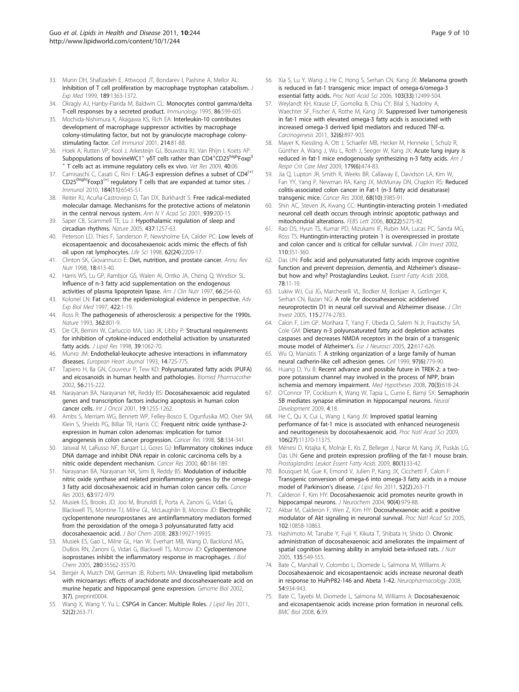- <span id="page-8-0"></span>33. Munn DH, Shafizadeh E, Attwood JT, Bondarev I, Pashine A, Mellor AL: [Inhibition of T cell proliferation by macrophage tryptophan catabolism.](http://www.ncbi.nlm.nih.gov/pubmed/10224276?dopt=Abstract) J Exp Med 1999, 189:1363-1372.
- 34. Okragly AJ, Hanby-Flarida M, Baldwin CL: [Monocytes control gamma/delta](http://www.ncbi.nlm.nih.gov/pubmed/8567027?dopt=Abstract) [T-cell responses by a secreted product.](http://www.ncbi.nlm.nih.gov/pubmed/8567027?dopt=Abstract) Immunology 1995, 86:599-605.
- 35. Mochida-Nishimura K, Akagawa KS, Rich EA: [Interleukin-10 contributes](http://www.ncbi.nlm.nih.gov/pubmed/11902832?dopt=Abstract) [development of macrophage suppressor activities by macrophage](http://www.ncbi.nlm.nih.gov/pubmed/11902832?dopt=Abstract) [colony-stimulating factor, but not by granulocyte macrophage colony](http://www.ncbi.nlm.nih.gov/pubmed/11902832?dopt=Abstract)[stimulating factor.](http://www.ncbi.nlm.nih.gov/pubmed/11902832?dopt=Abstract) Cell Immunol 2001, 214:81-88.
- 36. Hoek A, Rutten VP, Kool J, Arkesteijn GJ, Bouwstra RJ, Van Rhijn I, Koets AP: Subpopulations of bovineWC1<sup>+</sup> γδT cells rather than CD4<sup>+</sup>CD25<sup>high</sup>Foxp<sup>3</sup> T cells act as immune regulatory cells ex vivo. Vet Res 2009, 40:06.
- 37. Camisaschi C, Casati C, Rini F: [LAG-3](http://www.ncbi.nlm.nih.gov/pubmed/20421648?dopt=Abstract) [expression](http://www.ncbi.nlm.nih.gov/pubmed/20421648?dopt=Abstract) [defines](http://www.ncbi.nlm.nih.gov/pubmed/20421648?dopt=Abstract) [a](http://www.ncbi.nlm.nih.gov/pubmed/20421648?dopt=Abstract) [subset](http://www.ncbi.nlm.nih.gov/pubmed/20421648?dopt=Abstract) [of](http://www.ncbi.nlm.nih.gov/pubmed/20421648?dopt=Abstract) [CD4](http://www.ncbi.nlm.nih.gov/pubmed/20421648?dopt=Abstract)<sup>(+)</sup> CD25<sup>(high)</sup>Foxp3<sup>(+)</sup> [regulatory T cells that are expanded at tumor sites.](http://www.ncbi.nlm.nih.gov/pubmed/20421648?dopt=Abstract) J Immunol 2010, 184(11):6545-51.
- 38. Reiter RJ, Acuña-Castroviejo D, Tan DX, Burkhardt S: [Free radical-mediated](http://www.ncbi.nlm.nih.gov/pubmed/11462772?dopt=Abstract) [molecular damage. Mechanisms for the protective actions of melatonin](http://www.ncbi.nlm.nih.gov/pubmed/11462772?dopt=Abstract) [in the central nervous system.](http://www.ncbi.nlm.nih.gov/pubmed/11462772?dopt=Abstract) Ann N Y Acad Sci 2001, 939:200-15.
- 39. Saper CB, Scammell TE, Lu J: [Hypothalamic regulation of sleep and](http://www.ncbi.nlm.nih.gov/pubmed/16251950?dopt=Abstract) [circadian rhythms.](http://www.ncbi.nlm.nih.gov/pubmed/16251950?dopt=Abstract) Nature 2005, 437:1257-63.
- 40. Peterson LD, Thies F, Sanderson P, Newsholme EA, Calder PC: [Low levels of](http://www.ncbi.nlm.nih.gov/pubmed/9627080?dopt=Abstract) [eicosapentaenoic and docosahexaenoic acids mimic the effects of fish](http://www.ncbi.nlm.nih.gov/pubmed/9627080?dopt=Abstract) [oil upon rat lymphocytes.](http://www.ncbi.nlm.nih.gov/pubmed/9627080?dopt=Abstract) Life Sci 1998, 62(24):2209-17.
- 41. Clinton SK, Giovannucci E: [Diet, nutrition, and prostate cancer.](http://www.ncbi.nlm.nih.gov/pubmed/9706231?dopt=Abstract) Annu Rev Nutr 1998, 18:413-40.
- 42. Harris WS, Lu GP, Rambjor GS, Walen AI, Ontko JA, Cheng Q, Windsor SL: Infl[uence of n-3 fatty acid supplementation on the endogenous](http://www.ncbi.nlm.nih.gov/pubmed/9250102?dopt=Abstract) [activities of plasma lipoprotein lipase.](http://www.ncbi.nlm.nih.gov/pubmed/9250102?dopt=Abstract) Am J Clin Nutr 1997, 66:254-60.
- 43. Kolonel LN: Fat cancer: the epidemiological evidence in perspective. Adv Exp Biol Med 1997, 422:1-19.
- 44. Ross R: [The pathogenesis of atherosclerosis: a perspective for the 1990s.](http://www.ncbi.nlm.nih.gov/pubmed/8479518?dopt=Abstract) Nature 1993, 362:801-9.
- 45. De CR, Bernini W, Carluccio MA, Liao JK, Libby P: [Structural requirements](http://www.ncbi.nlm.nih.gov/pubmed/9610774?dopt=Abstract) [for inhibition of cytokine-induced endothelial activation by unsaturated](http://www.ncbi.nlm.nih.gov/pubmed/9610774?dopt=Abstract) [fatty acids.](http://www.ncbi.nlm.nih.gov/pubmed/9610774?dopt=Abstract) *J Lipid Res* 1998, 39:1062-70.
- 46. Munro JM: Endothelial-leukocyte adhesive interactions in inflammatory diseases. European Heart Journal 1993, 14:72S-77S.
- 47. Tapiero H, Ba GN, Couvreur P, Tew KD: [Polyunsaturated fatty acids \(PUFA\)](http://www.ncbi.nlm.nih.gov/pubmed/12199620?dopt=Abstract) [and eicosanoids in human health and pathologies.](http://www.ncbi.nlm.nih.gov/pubmed/12199620?dopt=Abstract) Biomed Pharmacother 2002, 56:215-222.
- 48. Narayanan BA, Narayanan NK, Reddy BS: [Docosahexaenoic acid regulated](http://www.ncbi.nlm.nih.gov/pubmed/11713597?dopt=Abstract) [genes and transcription factors inducing apoptosis in human colon](http://www.ncbi.nlm.nih.gov/pubmed/11713597?dopt=Abstract) [cancer cells.](http://www.ncbi.nlm.nih.gov/pubmed/11713597?dopt=Abstract) Int J Oncol 2001, 19:1255-1262.
- 49. Ambs S, Merriam WG, Bennett WP, Felley-Bosco E, Ogunfusika MO, Oser SM, Klein S, Shields PG, Billiar TR, Harris CC: [Frequent nitric oxide synthase-2](http://www.ncbi.nlm.nih.gov/pubmed/9443414?dopt=Abstract) [expression in human colon adenomas: implication for tumor](http://www.ncbi.nlm.nih.gov/pubmed/9443414?dopt=Abstract) [angiogenesis in colon cancer progression.](http://www.ncbi.nlm.nih.gov/pubmed/9443414?dopt=Abstract) Cancer Res 1998, 58:334-341.
- 50. Jaiswal M, LaRusso NF, Burgart LJ, Gores GJ: [Inflammatory citokines induce](http://www.ncbi.nlm.nih.gov/pubmed/10646872?dopt=Abstract) [DNA damage and inhibit DNA repair in colonic carcinoma cells by a](http://www.ncbi.nlm.nih.gov/pubmed/10646872?dopt=Abstract) [nitric oxide dependent mechanism.](http://www.ncbi.nlm.nih.gov/pubmed/10646872?dopt=Abstract) Cancer Res 2000, 60:184-189.
- 51. Narayanan BA, Narayanan NK, Simi B, Reddy BS: [Modulation of inducible](http://www.ncbi.nlm.nih.gov/pubmed/12615711?dopt=Abstract) [nitric oxide synthase and related proinflammatory genes by the omega-](http://www.ncbi.nlm.nih.gov/pubmed/12615711?dopt=Abstract)[3 fatty acid docosahexaenoic acid in human colon cancer cells.](http://www.ncbi.nlm.nih.gov/pubmed/12615711?dopt=Abstract) Cancer Res 2003, 63:972-979.
- 52. Musiek ES, Brooks JD, Joo M, Brunoldi E, Porta A, Zanoni G, Vidari G, Blackwell TS, Montine TJ, Milne GL, McLaughlin B, Morrow JD: [Electrophilic](http://www.ncbi.nlm.nih.gov/pubmed/18490445?dopt=Abstract) [cyclopentenone neuroprostanes are antiinflammatory mediators formed](http://www.ncbi.nlm.nih.gov/pubmed/18490445?dopt=Abstract) [from the peroxidation of the omega-3 polyunsaturated fatty acid](http://www.ncbi.nlm.nih.gov/pubmed/18490445?dopt=Abstract) [docosahexaenoic acid.](http://www.ncbi.nlm.nih.gov/pubmed/18490445?dopt=Abstract) J Biol Chem 2008, 283:19927-19935.
- 53. Musiek ES, Gao L, Milne GL, Han W, Everhart MB, Wang D, Backlund MG, DuBois RN, Zanoni G, Vidari G, Blackwell TS, Morrow JD: [Cyclopentenone](http://www.ncbi.nlm.nih.gov/pubmed/16100121?dopt=Abstract) [isoprostanes inhibit the inflammatory response in macrophages.](http://www.ncbi.nlm.nih.gov/pubmed/16100121?dopt=Abstract) J Biol Chem 2005, 280:35562-35570.
- 54. Berger A, Mutch DM, German JB, Roberts MA: Unraveling lipid metabolism with microarrays: effects of arachidonate and docosahexaenoate acid on murine hepatic and hippocampal gene expression. Genome Biol 2002, 3(7), preprint0004.
- 55. Wang X, Wang Y, Yu L: [CSPG4 in Cancer: Multiple Roles.](http://www.ncbi.nlm.nih.gov/pubmed/21115966?dopt=Abstract) J Lipid Res 2011, 52(2):263-71.
- 56. Xia S, Lu Y, Wang J, He C, Hong S, Serhan CN, Kang JX: [Melanoma growth](http://www.ncbi.nlm.nih.gov/pubmed/16888035?dopt=Abstract) [is reduced in fat-1 transgenic mice: impact of omega-6/omega-3](http://www.ncbi.nlm.nih.gov/pubmed/16888035?dopt=Abstract) [essential fatty acids.](http://www.ncbi.nlm.nih.gov/pubmed/16888035?dopt=Abstract) Proc Natl Acad Sci 2006, 103(33):12499-504.
- 57. Weylandt KH, Krause LF, Gomolka B, Chiu CY, Bilal S, Nadolny A, Waechter SF, Fischer A, Rothe M, Kang JX: [Suppressed liver tumorigenesis](http://www.ncbi.nlm.nih.gov/pubmed/21421544?dopt=Abstract) [in fat-1 mice with elevated omega-3 fatty acids is associated with](http://www.ncbi.nlm.nih.gov/pubmed/21421544?dopt=Abstract) [increased omega-3 derived lipid mediators and reduced TNF-](http://www.ncbi.nlm.nih.gov/pubmed/21421544?dopt=Abstract)α. Carcinogenesis 2011, 32(6):897-903.
- 58. Mayer K, Kiessling A, Ott J, Schaefer MB, Hecker M, Henneke I, Schulz R, Günther A, Wang J, Wu L, Roth J, Seeger W, Kang JX: [Acute lung injury is](http://www.ncbi.nlm.nih.gov/pubmed/19136374?dopt=Abstract) [reduced in fat-1 mice endogenously synthesizing n-3 fatty acids.](http://www.ncbi.nlm.nih.gov/pubmed/19136374?dopt=Abstract) Am J Respir Crit Care Med 2009, 179(6):474-83.
- 59. Jia Q, Lupton JR, Smith R, Weeks BR, Callaway E, Davidson LA, Kim W, Fan YY, Yang P, Newman RA, Kang JX, McMurray DN, Chapkin RS: [Reduced](http://www.ncbi.nlm.nih.gov/pubmed/18483285?dopt=Abstract) [colitis-associated colon cancer in Fat-1 \(n-3 fatty acid desaturase\)](http://www.ncbi.nlm.nih.gov/pubmed/18483285?dopt=Abstract) [transgenic mice.](http://www.ncbi.nlm.nih.gov/pubmed/18483285?dopt=Abstract) Cancer Res 2008, 68(10):3985-91.
- 60. Shin AC, Steven JK, Kwang CC: Huntingtin-interacting protein 1-mediated neuronal cell death occurs through intrinsic apoptotic pathways and mitochondrial alterations. FEBS Lett 2006, 80(22):5275-82.
- 61. Rao DS, Hyun TS, Kumar PD, Mizukami IF, Rubin MA, Lucas PC, Sanda MG, Ross TS: [Huntingtin-interacting protein 1 is overexpressed in prostate](http://www.ncbi.nlm.nih.gov/pubmed/12163454?dopt=Abstract) [and colon cancer and is critical for cellular survival.](http://www.ncbi.nlm.nih.gov/pubmed/12163454?dopt=Abstract) J Clin Invest 2002, 110:351-360.
- 62. Das UN: Folic acid and polyunsaturated fatty acids improve cognitive function and prevent depression, dementia, and Alzheimer's disease– but how and why? Prostaglandins Leukot. Essent Fatty Acids 2008, 78:11-19.
- 63. Lukiw WJ, Cui JG, Marcheselli VL, Bodker M, Botkjaer A, Gotlinger K, Serhan CN, Bazan NG: [A role for docosahexaenoic acidderived](http://www.ncbi.nlm.nih.gov/pubmed/16151530?dopt=Abstract) [neuroprotectin D1 in neural cell survival and Alzheimer disease.](http://www.ncbi.nlm.nih.gov/pubmed/16151530?dopt=Abstract) J Clin Invest 2005, 115:2774-2783.
- Calon F, Lim GP, Morihara T, Yang F, Ubeda O, Salem N Jr, Frautschy SA, Cole GM: [Dietary n-3 polyunsaturated fatty acid depletion activates](http://www.ncbi.nlm.nih.gov/pubmed/16101743?dopt=Abstract) [caspases and decreases NMDA receptors in the brain of a transgenic](http://www.ncbi.nlm.nih.gov/pubmed/16101743?dopt=Abstract) [mouse model of Alzheimer](http://www.ncbi.nlm.nih.gov/pubmed/16101743?dopt=Abstract)'s. Eur J Neurosci 2005, 22:617-626.
- Wu Q, Maniatis T: [A striking organization of a large family of human](http://www.ncbi.nlm.nih.gov/pubmed/10380929?dopt=Abstract) [neural cadherin-like cell adhesion genes.](http://www.ncbi.nlm.nih.gov/pubmed/10380929?dopt=Abstract) Cell 1999, 97(6):779-90.
- 66. Huang D, Yu B: [Recent advance and possible future in TREK-2: a two](http://www.ncbi.nlm.nih.gov/pubmed/17689202?dopt=Abstract)[pore potassium channel may involved in the process of NPP, brain](http://www.ncbi.nlm.nih.gov/pubmed/17689202?dopt=Abstract) [ischemia and memory impairment.](http://www.ncbi.nlm.nih.gov/pubmed/17689202?dopt=Abstract) Med Hypotheses 2008, 70(3):618-24.
- 67. O'Connor TP, Cockburn K, Wang W, Tapia L, Currie E, Bamji SX: [Semaphorin](http://www.ncbi.nlm.nih.gov/pubmed/19463192?dopt=Abstract) [5B mediates synapse elimination in hippocampal neurons.](http://www.ncbi.nlm.nih.gov/pubmed/19463192?dopt=Abstract) Neural Development 2009, 4:18.
- 68. He C, Qu X, Cui L, Wang J, Kang JX: [Improved spatial learning](http://www.ncbi.nlm.nih.gov/pubmed/19549874?dopt=Abstract) [performance of fat-1 mice is associated with enhanced neurogenesis](http://www.ncbi.nlm.nih.gov/pubmed/19549874?dopt=Abstract) [and neuritogenesis by docosahexaenoic acid.](http://www.ncbi.nlm.nih.gov/pubmed/19549874?dopt=Abstract) Proc Natl Acad Sci 2009, 106(27):11370-11375.
- 69. Ménesi D, Kitajka K, Molnár E, Kis Z, Belleger J, Narce M, Kang JX, Puskás LG, Das UN: [Gene and protein expression profiling of the fat-1 mouse brain.](http://www.ncbi.nlm.nih.gov/pubmed/19138887?dopt=Abstract) Prostaglandins Leukot Essent Fatty Acids 2009, 80(1):33-42.
- 70. Bousquet M, Gue K, Emond V, Julien P, Kang JX, Cicchetti F, Calon F: [Transgenic conversion of omega-6 into omega-3 fatty acids in a mouse](http://www.ncbi.nlm.nih.gov/pubmed/21115966?dopt=Abstract) [model of Parkinson](http://www.ncbi.nlm.nih.gov/pubmed/21115966?dopt=Abstract)'s disease. J Lipid Res 2011, 52(2):263-71.
- 71. Calderon F, Kim HY: [Docosahexaenoic acid promotes neurite growth in](http://www.ncbi.nlm.nih.gov/pubmed/15287904?dopt=Abstract) [hippocampal neurons.](http://www.ncbi.nlm.nih.gov/pubmed/15287904?dopt=Abstract) J Neurochem 2004, 90(4):979-88.
- 72. Akbar M, Calderon F, Wen Z, Kim HY: [Docosahexaenoic acid: a positive](http://www.ncbi.nlm.nih.gov/pubmed/16040805?dopt=Abstract) [modulator of Akt signaling in neuronal survival.](http://www.ncbi.nlm.nih.gov/pubmed/16040805?dopt=Abstract) Proc Natl Acad Sci 2005, 102:10858-10863.
- 73. Hashimoto M, Tanabe Y, Fujii Y, Kikuta T, Shibata H, Shido O: [Chronic](http://www.ncbi.nlm.nih.gov/pubmed/15735092?dopt=Abstract) [administration of docosahexaenoic acid ameliorates the impairment of](http://www.ncbi.nlm.nih.gov/pubmed/15735092?dopt=Abstract) [spatial cognition learning ability in amyloid beta-infused rats.](http://www.ncbi.nlm.nih.gov/pubmed/15735092?dopt=Abstract) J Nutr 2005, 135:549-555.
- 74. Bate C, Marshall V, Colombo L, Diomede L, Salmona M, Williams A: [Docosahexaenoic and eicosapentaenoic acids increase neuronal death](http://www.ncbi.nlm.nih.gov/pubmed/18355880?dopt=Abstract) [in response to HuPrP82-146 and Abeta 1-42.](http://www.ncbi.nlm.nih.gov/pubmed/18355880?dopt=Abstract) Neuropharmacology 2008, 54:934-943.
- 75. Bate C, Tayebi M, Diomede L, Salmona M, Williams A: [Docosahexaenoic](http://www.ncbi.nlm.nih.gov/pubmed/18789130?dopt=Abstract) [and eicosapentaenoic acids increase prion formation in neuronal cells.](http://www.ncbi.nlm.nih.gov/pubmed/18789130?dopt=Abstract) BMC Biol 2008, 6:39.